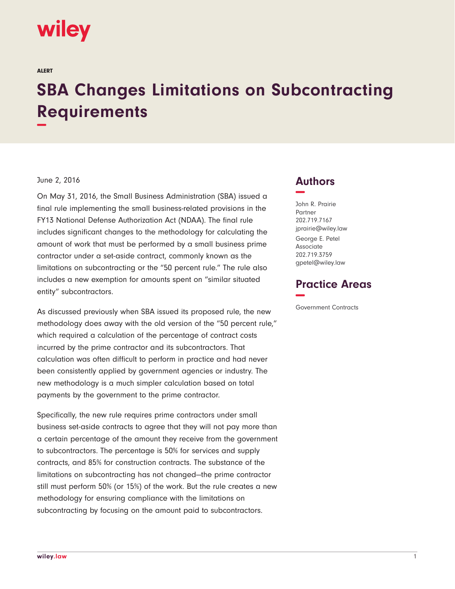# wiley

ALERT

# **SBA Changes Limitations on Subcontracting Requirements −**

#### June 2, 2016

On May 31, 2016, the Small Business Administration (SBA) issued a final rule implementing the small business-related provisions in the FY13 National Defense Authorization Act (NDAA). The final rule includes significant changes to the methodology for calculating the amount of work that must be performed by a small business prime contractor under a set-aside contract, commonly known as the limitations on subcontracting or the "50 percent rule." The rule also includes a new exemption for amounts spent on "similar situated entity" subcontractors.

As discussed previously when SBA issued its proposed rule, the new methodology does away with the old version of the "50 percent rule," which required a calculation of the percentage of contract costs incurred by the prime contractor and its subcontractors. That calculation was often difficult to perform in practice and had never been consistently applied by government agencies or industry. The new methodology is a much simpler calculation based on total payments by the government to the prime contractor.

Specifically, the new rule requires prime contractors under small business set-aside contracts to agree that they will not pay more than a certain percentage of the amount they receive from the government to subcontractors. The percentage is 50% for services and supply contracts, and 85% for construction contracts. The substance of the limitations on subcontracting has not changed—the prime contractor still must perform 50% (or 15%) of the work. But the rule creates a new methodology for ensuring compliance with the limitations on subcontracting by focusing on the amount paid to subcontractors.

## **Authors −**

John R. Prairie Partner 202.719.7167 jprairie@wiley.law George E. Petel Associate 202.719.3759 gpetel@wiley.law

## **Practice Areas −**

Government Contracts